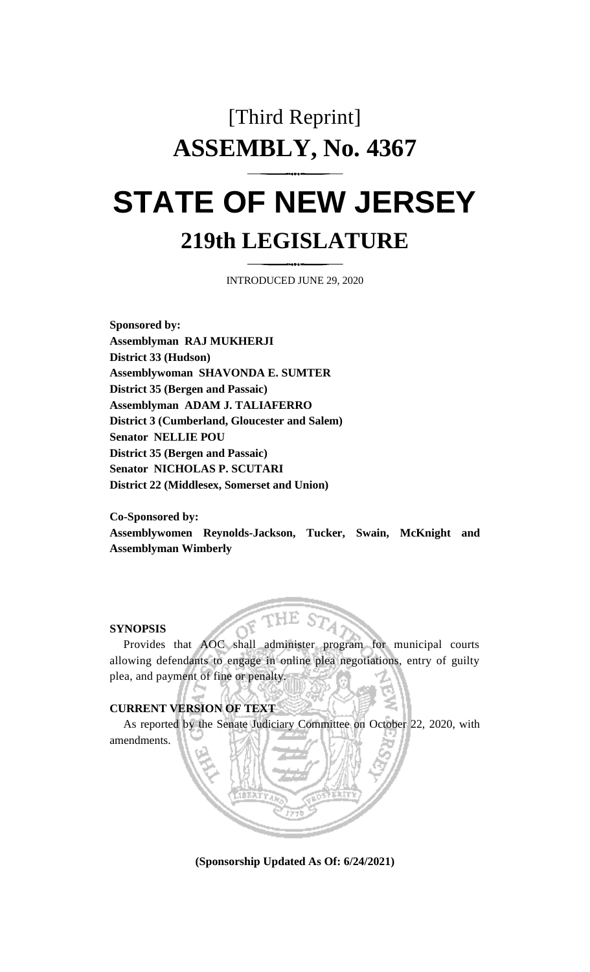# [Third Reprint] **ASSEMBLY, No. 4367 STATE OF NEW JERSEY**

## **219th LEGISLATURE**

INTRODUCED JUNE 29, 2020

**Sponsored by: Assemblyman RAJ MUKHERJI District 33 (Hudson) Assemblywoman SHAVONDA E. SUMTER District 35 (Bergen and Passaic) Assemblyman ADAM J. TALIAFERRO District 3 (Cumberland, Gloucester and Salem) Senator NELLIE POU District 35 (Bergen and Passaic) Senator NICHOLAS P. SCUTARI District 22 (Middlesex, Somerset and Union)**

**Co-Sponsored by: Assemblywomen Reynolds-Jackson, Tucker, Swain, McKnight and Assemblyman Wimberly**

#### **SYNOPSIS**

Provides that AOC shall administer program for municipal courts allowing defendants to engage in online plea negotiations, entry of guilty plea, and payment of fine or penalty.

 $\leqslant$  THE

### **CURRENT VERSION OF TEXT**

As reported by the Senate Judiciary Committee on October 22, 2020, with amendments. ~ .:J,

~

**(Sponsorship Updated As Of: 6/24/2021)**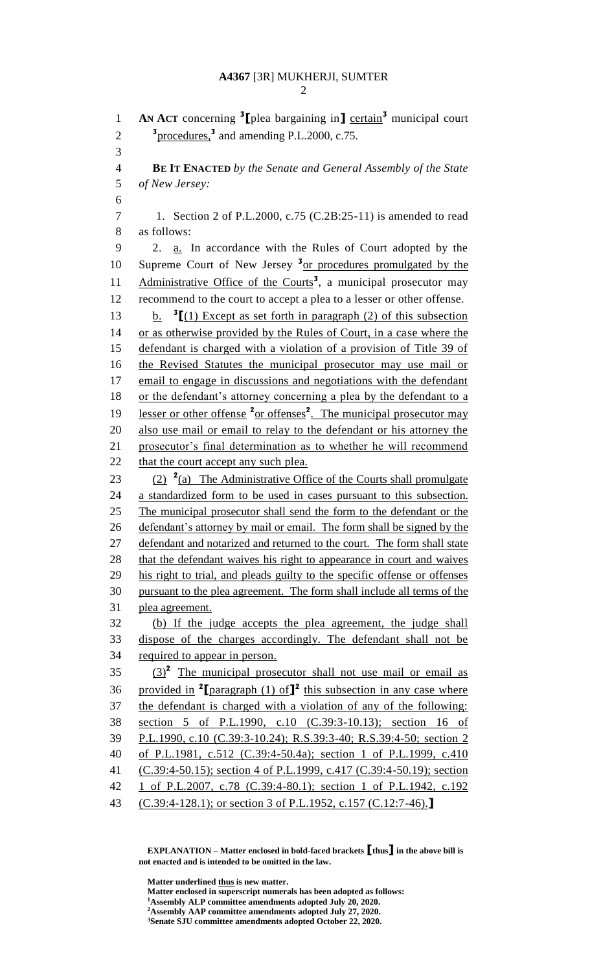```
2
```
**AN ACT** concerning <sup>3</sup>[plea bargaining in] certain<sup>3</sup> municipal court  $\frac{3}{2}$  procedures,<sup>3</sup> and amending P.L.2000, c.75. **BE IT ENACTED** *by the Senate and General Assembly of the State of New Jersey:* 1. Section 2 of P.L.2000, c.75 (C.2B:25-11) is amended to read as follows: 2. a. In accordance with the Rules of Court adopted by the 10 Supreme Court of New Jersey <sup>3</sup><sub>or procedures promulgated by the</sub> 11 Administrative Office of the Courts<sup>3</sup>, a municipal prosecutor may recommend to the court to accept a plea to a lesser or other offense. b. **<sup>3</sup>** 13 b.  $\mathbf{I}$ [(1) Except as set forth in paragraph (2) of this subsection or as otherwise provided by the Rules of Court, in a case where the defendant is charged with a violation of a provision of Title 39 of the Revised Statutes the municipal prosecutor may use mail or email to engage in discussions and negotiations with the defendant 18 or the defendant's attorney concerning a plea by the defendant to a 19 lesser or other offense <sup>2</sup> or offenses<sup>2</sup>. The municipal prosecutor may also use mail or email to relay to the defendant or his attorney the prosecutor's final determination as to whether he will recommend 22 that the court accept any such plea.  $(2)$   $\frac{2}{a}$ ) The Administrative Office of the Courts shall promulgate a standardized form to be used in cases pursuant to this subsection. The municipal prosecutor shall send the form to the defendant or the defendant's attorney by mail or email. The form shall be signed by the 27 defendant and notarized and returned to the court. The form shall state 28 that the defendant waives his right to appearance in court and waives his right to trial, and pleads guilty to the specific offense or offenses pursuant to the plea agreement. The form shall include all terms of the plea agreement. (b) If the judge accepts the plea agreement, the judge shall dispose of the charges accordingly. The defendant shall not be required to appear in person.  $(3)$ <sup>2</sup> The municipal prosecutor shall not use mail or email as 36 provided in <sup>2</sup>[paragraph (1) of  $J^2$  this subsection in any case where the defendant is charged with a violation of any of the following: section 5 of P.L.1990, c.10 (C.39:3-10.13); section 16 of P.L.1990, c.10 (C.39:3-10.24); R.S.39:3-40; R.S.39:4-50; section 2 of P.L.1981, c.512 (C.39:4-50.4a); section 1 of P.L.1999, c.410 (C.39:4-50.15); section 4 of P.L.1999, c.417 (C.39:4-50.19); section 1 of P.L.2007, c.78 (C.39:4-80.1); section 1 of P.L.1942, c.192 (C.39:4-128.1); or section 3 of P.L.1952, c.157 (C.12:7-46).**]** 

**EXPLANATION – Matter enclosed in bold-faced brackets [thus] in the above bill is not enacted and is intended to be omitted in the law.**

**Matter underlined thus is new matter. Matter enclosed in superscript numerals has been adopted as follows: Assembly ALP committee amendments adopted July 20, 2020. Assembly AAP committee amendments adopted July 27, 2020. Senate SJU committee amendments adopted October 22, 2020.**